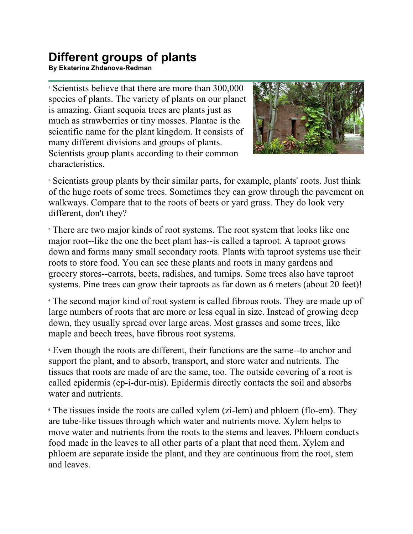## **Different groups of plants**

**By Ekaterina Zhdanova-Redman**

<sup>1</sup> Scientists believe that there are more than 300,000 species of plants. The variety of plants on our planet is amazing. Giant sequoia trees are plants just as much as strawberries or tiny mosses. Plantae is the scientific name for the plant kingdom. It consists of many different divisions and groups of plants. Scientists group plants according to their common characteristics.



<sup>2</sup> Scientists group plants by their similar parts, for example, plants' roots. Just think of the huge roots of some trees. Sometimes they can grow through the pavement on walkways. Compare that to the roots of beets or yard grass. They do look very different, don't they?

<sup>3</sup> There are two major kinds of root systems. The root system that looks like one major root--like the one the beet plant has--is called a taproot. A taproot grows down and forms many small secondary roots. Plants with taproot systems use their roots to store food. You can see these plants and roots in many gardens and grocery stores--carrots, beets, radishes, and turnips. Some trees also have taproot systems. Pine trees can grow their taproots as far down as 6 meters (about 20 feet)!

<sup>4</sup> The second major kind of root system is called fibrous roots. They are made up of large numbers of roots that are more or less equal in size. Instead of growing deep down, they usually spread over large areas. Most grasses and some trees, like maple and beech trees, have fibrous root systems.

<sup>5</sup> Even though the roots are different, their functions are the same--to anchor and support the plant, and to absorb, transport, and store water and nutrients. The tissues that roots are made of are the same, too. The outside covering of a root is called epidermis (ep-i-dur-mis). Epidermis directly contacts the soil and absorbs water and nutrients.

<sup>6</sup> The tissues inside the roots are called xylem (zi-lem) and phloem (flo-em). They are tube-like tissues through which water and nutrients move. Xylem helps to move water and nutrients from the roots to the stems and leaves. Phloem conducts food made in the leaves to all other parts of a plant that need them. Xylem and phloem are separate inside the plant, and they are continuous from the root, stem and leaves.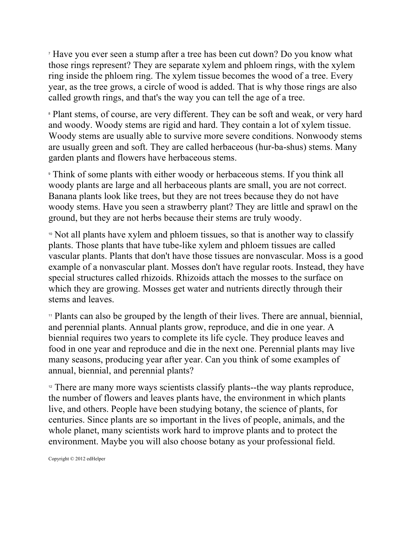<sup>7</sup> Have you ever seen a stump after a tree has been cut down? Do you know what those rings represent? They are separate xylem and phloem rings, with the xylem ring inside the phloem ring. The xylem tissue becomes the wood of a tree. Every year, as the tree grows, a circle of wood is added. That is why those rings are also called growth rings, and that's the way you can tell the age of a tree.

<sup>8</sup> Plant stems, of course, are very different. They can be soft and weak, or very hard and woody. Woody stems are rigid and hard. They contain a lot of xylem tissue. Woody stems are usually able to survive more severe conditions. Nonwoody stems are usually green and soft. They are called herbaceous (hur-ba-shus) stems. Many garden plants and flowers have herbaceous stems.

<sup>9</sup> Think of some plants with either woody or herbaceous stems. If you think all woody plants are large and all herbaceous plants are small, you are not correct. Banana plants look like trees, but they are not trees because they do not have woody stems. Have you seen a strawberry plant? They are little and sprawl on the ground, but they are not herbs because their stems are truly woody.

<sup>10</sup> Not all plants have xylem and phloem tissues, so that is another way to classify plants. Those plants that have tube-like xylem and phloem tissues are called vascular plants. Plants that don't have those tissues are nonvascular. Moss is a good example of a nonvascular plant. Mosses don't have regular roots. Instead, they have special structures called rhizoids. Rhizoids attach the mosses to the surface on which they are growing. Mosses get water and nutrients directly through their stems and leaves.

<sup>11</sup> Plants can also be grouped by the length of their lives. There are annual, biennial, and perennial plants. Annual plants grow, reproduce, and die in one year. A biennial requires two years to complete its life cycle. They produce leaves and food in one year and reproduce and die in the next one. Perennial plants may live many seasons, producing year after year. Can you think of some examples of annual, biennial, and perennial plants?

<sup>12</sup> There are many more ways scientists classify plants--the way plants reproduce, the number of flowers and leaves plants have, the environment in which plants live, and others. People have been studying botany, the science of plants, for centuries. Since plants are so important in the lives of people, animals, and the whole planet, many scientists work hard to improve plants and to protect the environment. Maybe you will also choose botany as your professional field.

Copyright © 2012 edHelper